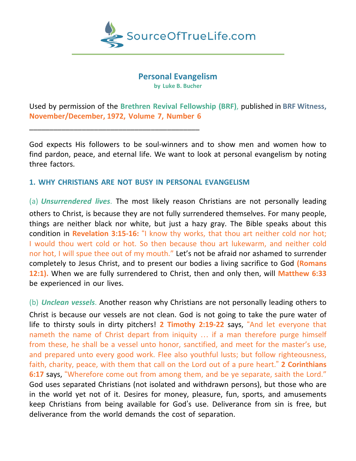

## **Personal Evangelism**

**by Luke B. Bucher**

Used by permission of the **Brethren Revival Fellowship (BRF)**, published in **BRF Witness, November/December, 1972, Volume 7, Number 6**

God expects His followers to be soul-winners and to show men and women how to find pardon, peace, and eternal life. We want to look at personal evangelism by noting three factors.

## **1. WHY CHRISTIANS ARE NOT BUSY IN PERSONAL EVANGELISM**

\_\_\_\_\_\_\_\_\_\_\_\_\_\_\_\_\_\_\_\_\_\_\_\_\_\_\_\_\_\_\_\_\_\_\_\_\_\_\_\_\_\_

(a) *Unsurrendered lives*. The most likely reason Christians are not personally leading others to Christ, is because they are not fully surrendered themselves. For many people, things are neither black nor white, but just a hazy gray. The Bible speaks about this condition in **Revelation 3:15-16:** "I know thy works, that thou art neither cold nor hot; I would thou wert cold or hot. So then because thou art lukewarm, and neither cold nor hot, I will spue thee out of my mouth." Let's not be afraid nor ashamed to surrender completely to Jesus Christ, and to present our bodies a living sacrifice to God **(Romans 12:1).** When we are fully surrendered to Christ, then and only then, will **Matthew 6:33** be experienced in our lives.

(b) *Unclean vessels*. Another reason why Christians are not personally leading others to Christ is because our vessels are not clean. God is not going to take the pure water of life to thirsty souls in dirty pitchers! **2 Timothy 2:19-22** says, "And let everyone that nameth the name of Christ depart from iniquity … if a man therefore purge himself from these, he shall be a vessel unto honor, sanctified, and meet for the master's use, and prepared unto every good work. Flee also youthful lusts; but follow righteousness, faith, charity, peace, with them that call on the Lord out of a pure heart." **2 Corinthians 6:17** says, "Wherefore come out from among them, and be ye separate, saith the Lord." God uses separated Christians (not isolated and withdrawn persons), but those who are in the world yet not of it. Desires for money, pleasure, fun, sports, and amusements keep Christians from being available for God's use. Deliverance from sin is free, but deliverance from the world demands the cost of separation.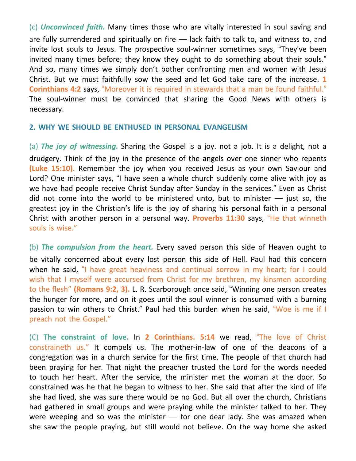(c) *Unconvinced faith.* Many times those who are vitally interested in soul saving and are fully surrendered and spiritually on fire — lack faith to talk to, and witness to, and invite lost souls to Jesus. The prospective soul-winner sometimes says, "They've been invited many times before; they know they ought to do something about their souls." And so, many times we simply don't bother confronting men and women with Jesus Christ. But we must faithfully sow the seed and let God take care of the increase. **1 Corinthians 4:2** says, "Moreover it is required in stewards that a man be found faithful." The soul-winner must be convinced that sharing the Good News with others is necessary.

## **2. WHY WE SHOULD BE ENTHUSED IN PERSONAL EVANGELISM**

(a) *The joy of witnessing.* Sharing the Gospel is a joy. not a job. It is a delight, not a drudgery. Think of the joy in the presence of the angels over one sinner who repents **(Luke 15:10).** Remember the joy when you received Jesus as your own Saviour and Lord? One minister says, "I have seen a whole church suddenly come alive with joy as we have had people receive Christ Sunday after Sunday in the services." Even as Christ did not come into the world to be ministered unto, but to minister — just so, the greatest joy in the Christian's life is the joy of sharing his personal faith in a personal Christ with another person in a personal way. **Proverbs 11:30** says, "He that winneth souls is wise."

(b) *The compulsion from the heart.* Every saved person this side of Heaven ought to be vitally concerned about every lost person this side of Hell. Paul had this concern when he said, "I have great heaviness and continual sorrow in my heart; for I could wish that I myself were accursed from Christ for my brethren, my kinsmen according to the flesh" **(Romans 9:2, 3).** L. R. Scarborough once said, "Winning one person creates the hunger for more, and on it goes until the soul winner is consumed with a burning passion to win others to Christ." Paul had this burden when he said, "Woe is me if I preach not the Gospel."

(C) **The constraint of love.** In **2 Corinthians. 5:14** we read, "The love of Christ constraineth us." It compels us. The mother-in-law of one of the deacons of a congregation was in a church service for the first time. The people of that church had been praying for her. That night the preacher trusted the Lord for the words needed to touch her heart. After the service, the minister met the woman at the door. So constrained was he that he began to witness to her. She said that after the kind of life she had lived, she was sure there would be no God. But all over the church, Christians had gathered in small groups and were praying while the minister talked to her. They were weeping and so was the minister — for one dear lady. She was amazed when she saw the people praying, but still would not believe. On the way home she asked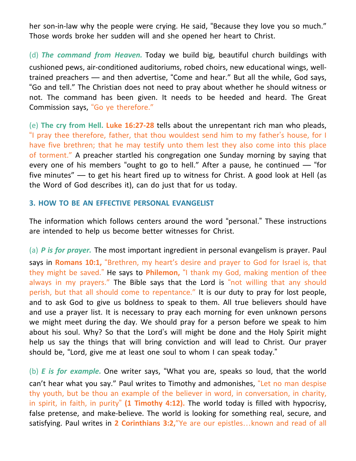her son-in-law why the people were crying. He said, "Because they love you so much." Those words broke her sudden will and she opened her heart to Christ.

(d) *The command from Heaven.* Today we build big, beautiful church buildings with cushioned pews, air-conditioned auditoriums, robed choirs, new educational wings, welltrained preachers — and then advertise, "Come and hear." But all the while, God says, "Go and tell." The Christian does not need to pray about whether he should witness or not. The command has been given. It needs to be heeded and heard. The Great Commission says, "Go ye therefore."

(e) **The cry from Hell. Luke 16:27-28** tells about the unrepentant rich man who pleads, "I pray thee therefore, father, that thou wouldest send him to my father's house, for I have five brethren; that he may testify unto them lest they also come into this place of torment." A preacher startled his congregation one Sunday morning by saying that every one of his members "ought to go to hell." After a pause, he continued — "for five minutes" — to get his heart fired up to witness for Christ. A good look at Hell (as the Word of God describes it), can do just that for us today.

## **3. HOW TO BE AN EFFECTIVE PERSONAL EVANGELIST**

The information which follows centers around the word "personal." These instructions are intended to help us become better witnesses for Christ.

(a) *P is for prayer.* The most important ingredient in personal evangelism is prayer. Paul says in **Romans 10:1,** "Brethren, my heart's desire and prayer to God for Israel is, that they might be saved." He says to **Philemon,** "I thank my God, making mention of thee always in my prayers." The Bible says that the Lord is "not willing that any should perish, but that all should come to repentance." It is our duty to pray for lost people, and to ask God to give us boldness to speak to them. All true believers should have and use a prayer list. It is necessary to pray each morning for even unknown persons we might meet during the day. We should pray for a person before we speak to him about his soul. Why? So that the Lord's will might be done and the Holy Spirit might help us say the things that will bring conviction and will lead to Christ. Our prayer should be, "Lord, give me at least one soul to whom I can speak today."

(b) *E is for example.* One writer says, "What you are, speaks so loud, that the world can't hear what you say." Paul writes to Timothy and admonishes, "Let no man despise thy youth, but be thou an example of the believer in word, in conversation, in charity, in spirit, in faith, in purity" **(1 Timothy 4:12).** The world today is filled with hypocrisy, false pretense, and make-believe. The world is looking for something real, secure, and satisfying. Paul writes in **2 Corinthians 3:2,**"Ye are our epistles…known and read of all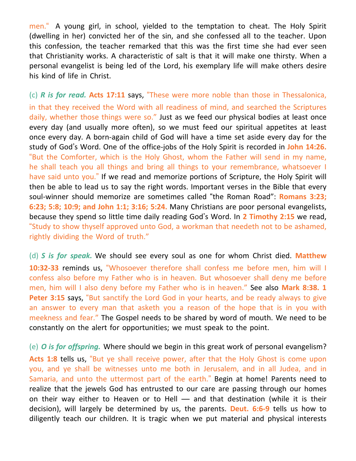men." A young girl, in school, yielded to the temptation to cheat. The Holy Spirit (dwelling in her) convicted her of the sin, and she confessed all to the teacher. Upon this confession, the teacher remarked that this was the first time she had ever seen that Christianity works. A characteristic of salt is that it will make one thirsty. When a personal evangelist is being led of the Lord, his exemplary life will make others desire his kind of life in Christ.

(c) *R is for read.* **Acts 17:11** says, "These were more noble than those in Thessalonica, in that they received the Word with all readiness of mind, and searched the Scriptures daily, whether those things were so." Just as we feed our physical bodies at least once every day (and usually more often), so we must feed our spiritual appetites at least once every day. A born-again child of God will have a time set aside every day for the study of God's Word. One of the office-jobs of the Holy Spirit is recorded in **John 14:26.** "But the Comforter, which is the Holy Ghost, whom the Father will send in my name, he shall teach you all things and bring all things to your remembrance, whatsoever I have said unto you." If we read and memorize portions of Scripture, the Holy Spirit will then be able to lead us to say the right words. Important verses in the Bible that every soul-winner should memorize are sometimes called "the Roman Road": **Romans 3:23; 6:23; 5:8; 10:9; and John 1:1; 3:16; 5:24.** Many Christians are poor personal evangelists, because they spend so little time daily reading God's Word. In **2 Timothy 2:15** we read, "Study to show thyself approved unto God, a workman that needeth not to be ashamed, rightly dividing the Word of truth."

(d) *S is for speak.* We should see every soul as one for whom Christ died. **Matthew 10:32-33** reminds us, "Whosoever therefore shall confess me before men, him will I confess also before my Father who is in heaven. But whosoever shall deny me before men, him will I also deny before my Father who is in heaven." See also **Mark 8:38. 1 Peter 3:15** says, "But sanctify the Lord God in your hearts, and be ready always to give an answer to every man that asketh you a reason of the hope that is in you with meekness and fear." The Gospel needs to be shared by word of mouth. We need to be constantly on the alert for opportunities; we must speak to the point.

(e) *O is for offspring.* Where should we begin in this great work of personal evangelism? **Acts 1:8** tells us, "But ye shall receive power, after that the Holy Ghost is come upon you, and ye shall be witnesses unto me both in Jerusalem, and in all Judea, and in Samaria, and unto the uttermost part of the earth." Begin at home! Parents need to realize that the jewels God has entrusted to our care are passing through our homes on their way either to Heaven or to Hell — and that destination (while it is their decision), will largely be determined by us, the parents. **Deut. 6:6-9** tells us how to diligently teach our children. It is tragic when we put material and physical interests